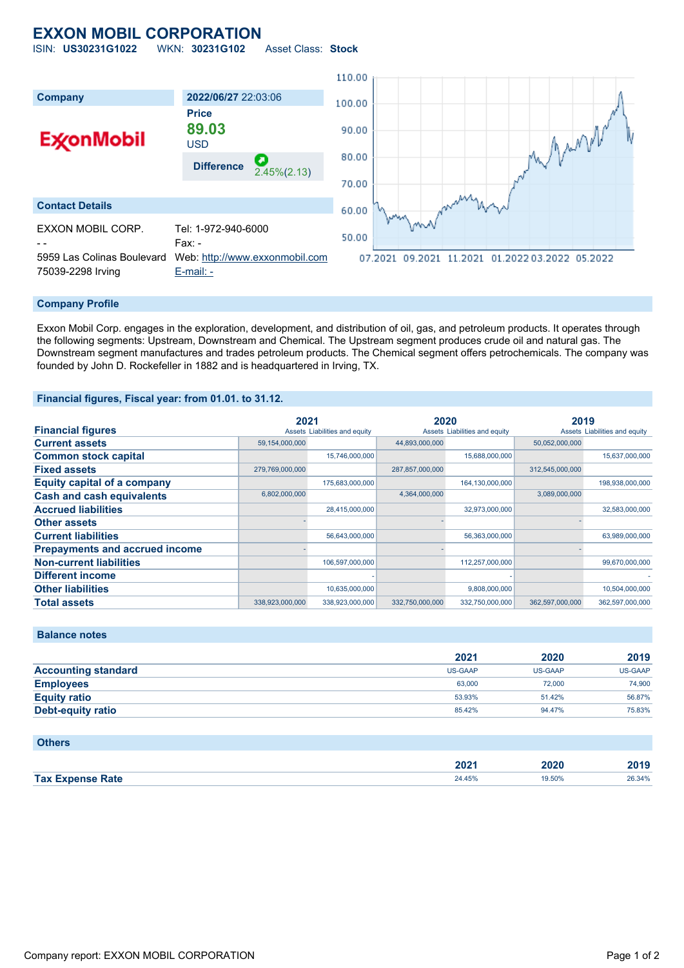## **EXXON MOBIL CORPORATION**

ISIN: **US30231G1022** WKN: **30231G102** Asset Class: **Stock**



## **Company Profile**

Exxon Mobil Corp. engages in the exploration, development, and distribution of oil, gas, and petroleum products. It operates through the following segments: Upstream, Downstream and Chemical. The Upstream segment produces crude oil and natural gas. The Downstream segment manufactures and trades petroleum products. The Chemical segment offers petrochemicals. The company was founded by John D. Rockefeller in 1882 and is headquartered in Irving, TX.

#### **Financial figures, Fiscal year: from 01.01. to 31.12.**

|                                       | 2021            |                               | 2020            |                               | 2019            |                               |
|---------------------------------------|-----------------|-------------------------------|-----------------|-------------------------------|-----------------|-------------------------------|
| <b>Financial figures</b>              |                 | Assets Liabilities and equity |                 | Assets Liabilities and equity |                 | Assets Liabilities and equity |
| <b>Current assets</b>                 | 59,154,000,000  |                               | 44,893,000,000  |                               | 50,052,000,000  |                               |
| <b>Common stock capital</b>           |                 | 15,746,000,000                |                 | 15,688,000,000                |                 | 15,637,000,000                |
| <b>Fixed assets</b>                   | 279,769,000,000 |                               | 287,857,000,000 |                               | 312,545,000,000 |                               |
| <b>Equity capital of a company</b>    |                 | 175,683,000,000               |                 | 164,130,000,000               |                 | 198,938,000,000               |
| <b>Cash and cash equivalents</b>      | 6,802,000,000   |                               | 4,364,000,000   |                               | 3,089,000,000   |                               |
| <b>Accrued liabilities</b>            |                 | 28,415,000,000                |                 | 32,973,000,000                |                 | 32,583,000,000                |
| <b>Other assets</b>                   |                 |                               |                 |                               |                 |                               |
| <b>Current liabilities</b>            |                 | 56,643,000,000                |                 | 56,363,000,000                |                 | 63,989,000,000                |
| <b>Prepayments and accrued income</b> |                 |                               |                 |                               |                 |                               |
| <b>Non-current liabilities</b>        |                 | 106,597,000,000               |                 | 112,257,000,000               |                 | 99,670,000,000                |
| <b>Different income</b>               |                 |                               |                 |                               |                 |                               |
| <b>Other liabilities</b>              |                 | 10,635,000,000                |                 | 9,808,000,000                 |                 | 10,504,000,000                |
| <b>Total assets</b>                   | 338,923,000,000 | 338,923,000,000               | 332,750,000,000 | 332,750,000,000               | 362,597,000,000 | 362,597,000,000               |

**Balance notes**

|                            | 2021    | 2020    | 2019           |
|----------------------------|---------|---------|----------------|
| <b>Accounting standard</b> | US-GAAP | US-GAAP | <b>US-GAAP</b> |
| <b>Employees</b>           | 63,000  | 72,000  | 74,900         |
| <b>Equity ratio</b>        | 53.93%  | 51.42%  | 56.87%         |
| <b>Debt-equity ratio</b>   | 85.42%  | 94.47%  | 75.83%         |

| <b>Others</b>           |        |        |        |
|-------------------------|--------|--------|--------|
|                         | 2021   | 2020   | 2019   |
| <b>Tax Expense Rate</b> | 24.45% | 19.50% | 26.34% |